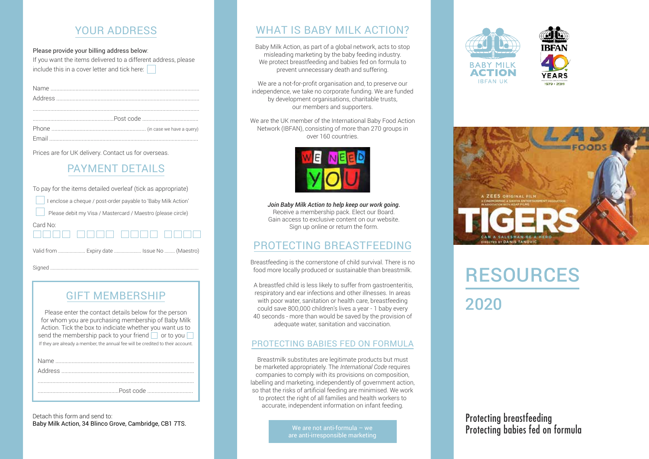## YOUR ADDRESS

#### Please provide your billing address below:

| If you want the items delivered to a different address, please |  |
|----------------------------------------------------------------|--|
| include this in a cover letter and tick here:                  |  |

Prices are for UK delivery. Contact us for overseas.

## PAYMENT DETAILS

| To pay for the items detailed overleaf (tick as appropriate)  |  |
|---------------------------------------------------------------|--|
| I enclose a cheque / post-order payable to 'Baby Milk Action' |  |
| Please debit my Visa / Mastercard / Maestro (please circle)   |  |
| Card No:                                                      |  |

| Valid from  Expiry date  Issue No  (Maestro) |  |
|----------------------------------------------|--|
|----------------------------------------------|--|

Signed ...................................................................................................................

#### GIFT MEMBERSHIP

Please enter the contact details below for the person for whom you are purchasing membership of Baby Milk Action. Tick the box to indiciate whether you want us to send the membership pack to your friend  $\Box$  or to you  $\Box$ If they are already a member, the annual fee will be credited to their account.

Detach this form and send to: Baby Milk Action, 34 Blinco Grove, Cambridge, CB1 7TS.

## WHAT IS BABY MILK ACTION?

Baby Milk Action, as part of a global network, acts to stop misleading marketing by the baby feeding industry. We protect breastfeeding and babies fed on formula to prevent unnecessary death and suffering.

We are a not-for-profit organisation and, to preserve our independence, we take no corporate funding. We are funded by development organisations, charitable trusts, our members and supporters.

We are the UK member of the International Baby Food Action Network (IBFAN), consisting of more than 270 groups in over 160 countries.



*Join Baby Milk Action to help keep our work going*. Receive a membership pack. Elect our Board. Gain access to exclusive content on our website. Sign up online or return the form.

#### PROTECTING BREASTFEEDING

Breastfeeding is the cornerstone of child survival. There is no food more locally produced or sustainable than breastmilk.

 A breastfed child is less likely to suffer from gastroenteritis, respiratory and ear infections and other illnesses. In areas with poor water, sanitation or health care, breastfeeding could save 800,000 children's lives a year - 1 baby every 40 seconds - more than would be saved by the provision of adequate water, sanitation and vaccination.

#### PROTECTING BABIES FED ON FORMULA

Breastmilk substitutes are legitimate products but must be marketed appropriately. The *International Code* requires companies to comply with its provisions on composition, labelling and marketing, independently of government action, so that the risks of artificial feeding are minimised. We work to protect the right of all families and health workers to accurate, independent information on infant feeding.

> We are not anti-formula – we are anti-irresponsible marketing







# RESOURCES

2020

Protecting breastfeeding Protecting babies fed on formula